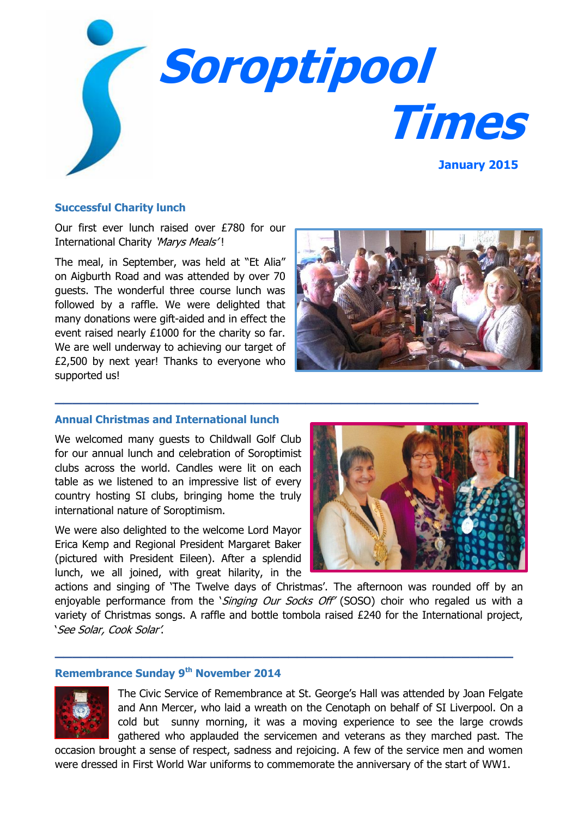

#### **Successful Charity lunch**

Our first ever lunch raised over £780 for our International Charity 'Marys Meals'!

The meal, in September, was held at "Et Alia" on Aigburth Road and was attended by over 70 guests. The wonderful three course lunch was followed by a raffle. We were delighted that many donations were gift-aided and in effect the event raised nearly £1000 for the charity so far. We are well underway to achieving our target of £2,500 by next year! Thanks to everyone who supported us!



## **Annual Christmas and International lunch**

We welcomed many guests to Childwall Golf Club for our annual lunch and celebration of Soroptimist clubs across the world. Candles were lit on each table as we listened to an impressive list of every country hosting SI clubs, bringing home the truly international nature of Soroptimism.

We were also delighted to the welcome Lord Mayor Erica Kemp and Regional President Margaret Baker (pictured with President Eileen). After a splendid lunch, we all joined, with great hilarity, in the



actions and singing of 'The Twelve days of Christmas'. The afternoon was rounded off by an enjoyable performance from the *`Singing Our Socks Off'* (SOSO) choir who regaled us with a variety of Christmas songs. A raffle and bottle tombola raised £240 for the International project, 'See Solar, Cook Solar'.

**\_\_\_\_\_\_\_\_\_\_\_\_\_\_\_\_\_\_\_\_\_\_\_\_\_\_\_\_\_\_\_\_\_\_\_\_\_\_\_\_\_\_\_\_\_\_\_\_\_\_\_\_\_**

**\_\_\_\_\_\_\_\_\_\_\_\_\_\_\_\_\_\_\_\_\_\_\_\_\_\_\_\_\_\_\_\_\_\_\_\_\_\_\_\_\_\_\_\_\_\_\_\_\_**

# **Remembrance Sunday 9th November 2014**



The Civic Service of Remembrance at St. George's Hall was attended by Joan Felgate and Ann Mercer, who laid a wreath on the Cenotaph on behalf of SI Liverpool. On a cold but sunny morning, it was a moving experience to see the large crowds gathered who applauded the servicemen and veterans as they marched past. The

occasion brought a sense of respect, sadness and rejoicing. A few of the service men and women were dressed in First World War uniforms to commemorate the anniversary of the start of WW1.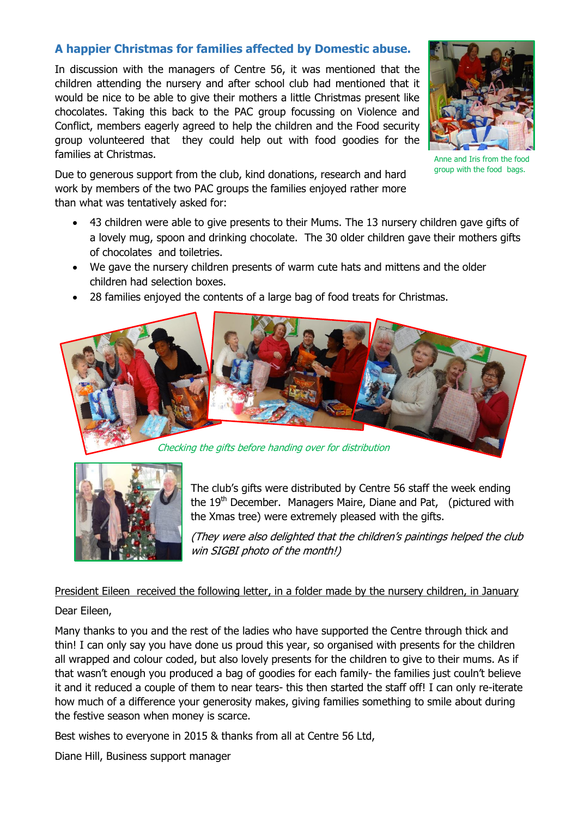# **A happier Christmas for families affected by Domestic abuse.**

In discussion with the managers of Centre 56, it was mentioned that the children attending the nursery and after school club had mentioned that it would be nice to be able to give their mothers a little Christmas present like chocolates. Taking this back to the PAC group focussing on Violence and Conflict, members eagerly agreed to help the children and the Food security group volunteered that they could help out with food goodies for the families at Christmas.

Due to generous support from the club, kind donations, research and hard work by members of the two PAC groups the families enjoyed rather more than what was tentatively asked for:

- 43 children were able to give presents to their Mums. The 13 nursery children gave gifts of a lovely mug, spoon and drinking chocolate. The 30 older children gave their mothers gifts of chocolates and toiletries.
- We gave the nursery children presents of warm cute hats and mittens and the older children had selection boxes.

Checking the gifts before handing over for distribution

28 families enjoyed the contents of a large bag of food treats for Christmas.



(They were also delighted that the children's paintings helped the club win SIGBI photo of the month!)

President Eileen received the following letter, in a folder made by the nursery children, in January

## Dear Eileen,

Many thanks to you and the rest of the ladies who have supported the Centre through thick and thin! I can only say you have done us proud this year, so organised with presents for the children all wrapped and colour coded, but also lovely presents for the children to give to their mums. As if that wasn't enough you produced a bag of goodies for each family- the families just couln't believe it and it reduced a couple of them to near tears- this then started the staff off! I can only re-iterate how much of a difference your generosity makes, giving families something to smile about during the festive season when money is scarce.

Best wishes to everyone in 2015 & thanks from all at Centre 56 Ltd,

Diane Hill, Business support manager



Anne and Iris from the food group with the food bags.

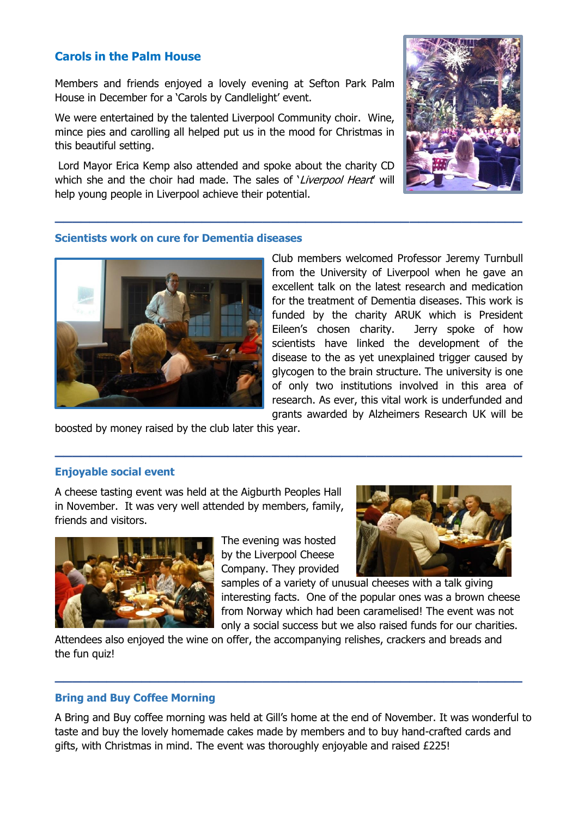# **Carols in the Palm House**

Members and friends enjoyed a lovely evening at Sefton Park Palm House in December for a 'Carols by Candlelight' event.

We were entertained by the talented Liverpool Community choir. Wine, mince pies and carolling all helped put us in the mood for Christmas in this beautiful setting.

Lord Mayor Erica Kemp also attended and spoke about the charity CD which she and the choir had made. The sales of 'Liverpool Heart' will help young people in Liverpool achieve their potential.

**\_\_\_\_\_\_\_\_\_\_\_\_\_\_\_\_\_\_\_\_\_\_\_\_\_\_\_\_\_\_\_\_\_\_\_\_\_\_\_\_\_\_\_\_\_\_\_\_\_\_\_\_\_\_**



## **Scientists work on cure for Dementia diseases**



Club members welcomed Professor Jeremy Turnbull from the University of Liverpool when he gave an excellent talk on the latest research and medication for the treatment of Dementia diseases. This work is funded by the charity ARUK which is President Eileen's chosen charity. Jerry spoke of how scientists have linked the development of the disease to the as yet unexplained trigger caused by glycogen to the brain structure. The university is one of only two institutions involved in this area of research. As ever, this vital work is underfunded and grants awarded by Alzheimers Research UK will be

boosted by money raised by the club later this year.

#### **Enjoyable social event**

A cheese tasting event was held at the Aigburth Peoples Hall in November. It was very well attended by members, family, friends and visitors.



The evening was hosted by the Liverpool Cheese Company. They provided

**\_\_\_\_\_\_\_\_\_\_\_\_\_\_\_\_\_\_\_\_\_\_\_\_\_\_\_\_\_\_\_\_\_\_\_\_\_\_\_\_\_\_\_\_\_\_\_\_\_\_\_\_\_\_**



samples of a variety of unusual cheeses with a talk giving interesting facts. One of the popular ones was a brown cheese from Norway which had been caramelised! The event was not only a social success but we also raised funds for our charities.

Attendees also enjoyed the wine on offer, the accompanying relishes, crackers and breads and the fun quiz!

**\_\_\_\_\_\_\_\_\_\_\_\_\_\_\_\_\_\_\_\_\_\_\_\_\_\_\_\_\_\_\_\_\_\_\_\_\_\_\_\_\_\_\_\_\_\_\_\_\_\_\_\_\_\_**

#### **Bring and Buy Coffee Morning**

A Bring and Buy coffee morning was held at Gill's home at the end of November. It was wonderful to taste and buy the lovely homemade cakes made by members and to buy hand-crafted cards and gifts, with Christmas in mind. The event was thoroughly enjoyable and raised £225!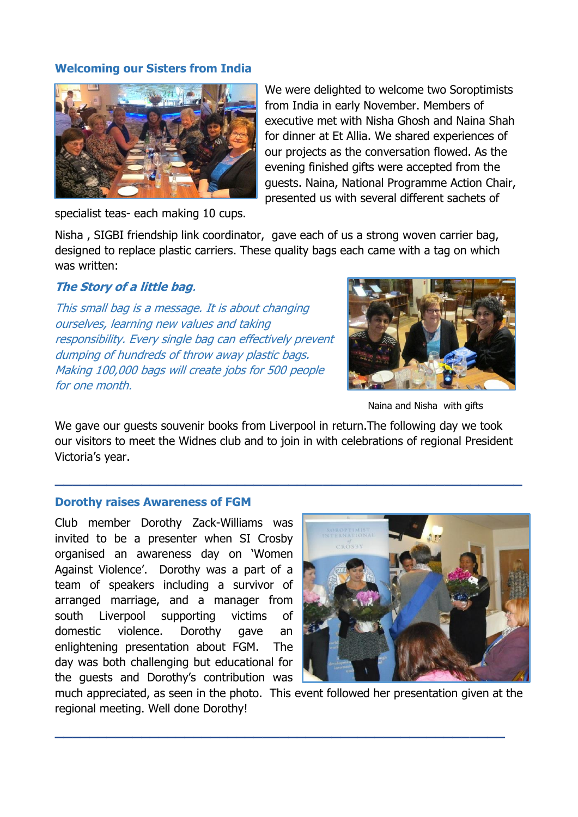# **Welcoming our Sisters from India**



We were delighted to welcome two Soroptimists from India in early November. Members of executive met with Nisha Ghosh and Naina Shah for dinner at Et Allia. We shared experiences of our projects as the conversation flowed. As the evening finished gifts were accepted from the guests. Naina, National Programme Action Chair, presented us with several different sachets of

specialist teas- each making 10 cups.

Nisha , SIGBI friendship link coordinator, gave each of us a strong woven carrier bag, designed to replace plastic carriers. These quality bags each came with a tag on which was written:

## **The Story of a little bag**.

This small bag is a message. It is about changing ourselves, learning new values and taking responsibility. Every single bag can effectively prevent dumping of hundreds of throw away plastic bags. Making 100,000 bags will create jobs for 500 people for one month.



Naina and Nisha with gifts

We gave our guests souvenir books from Liverpool in return.The following day we took our visitors to meet the Widnes club and to join in with celebrations of regional President Victoria's year.

**\_\_\_\_\_\_\_\_\_\_\_\_\_\_\_\_\_\_\_\_\_\_\_\_\_\_\_\_\_\_\_\_\_\_\_\_\_\_\_\_\_\_\_\_\_\_\_\_\_\_\_\_\_\_**

## **Dorothy raises Awareness of FGM**

Club member Dorothy Zack-Williams was invited to be a presenter when SI Crosby organised an awareness day on 'Women Against Violence'. Dorothy was a part of a team of speakers including a survivor of arranged marriage, and a manager from south Liverpool supporting victims of domestic violence. Dorothy gave an enlightening presentation about FGM. The day was both challenging but educational for the guests and Dorothy's contribution was



much appreciated, as seen in the photo. This event followed her presentation given at the regional meeting. Well done Dorothy!

**\_\_\_\_\_\_\_\_\_\_\_\_\_\_\_\_\_\_\_\_\_\_\_\_\_\_\_\_\_\_\_\_\_\_\_\_\_\_\_\_\_\_\_\_\_\_\_\_\_\_\_\_**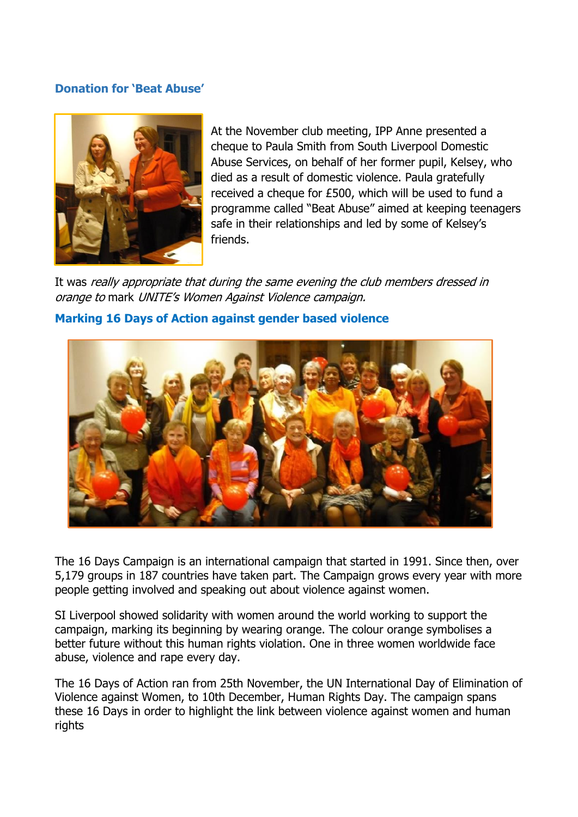## **Donation for 'Beat Abuse'**



At the November club meeting, IPP Anne presented a cheque to Paula Smith from South Liverpool Domestic Abuse Services, on behalf of her former pupil, Kelsey, who died as a result of domestic violence. Paula gratefully received a cheque for £500, which will be used to fund a programme called "Beat Abuse" aimed at keeping teenagers safe in their relationships and led by some of Kelsey's friends.

It was really appropriate that during the same evening the club members dressed in orange to mark UNITE's Women Against Violence campaign.

# **Marking 16 Days of Action against gender based violence**



The 16 Days Campaign is an international campaign that started in 1991. Since then, over 5,179 groups in 187 countries have taken part. The Campaign grows every year with more people getting involved and speaking out about violence against women.

SI Liverpool showed solidarity with women around the world working to support the campaign, marking its beginning by wearing orange. The colour orange symbolises a better future without this human rights violation. One in three women worldwide face abuse, violence and rape every day.

The 16 Days of Action ran from 25th November, the UN International Day of Elimination of Violence against Women, to 10th December, Human Rights Day. The campaign spans these 16 Days in order to highlight the link between violence against women and human rights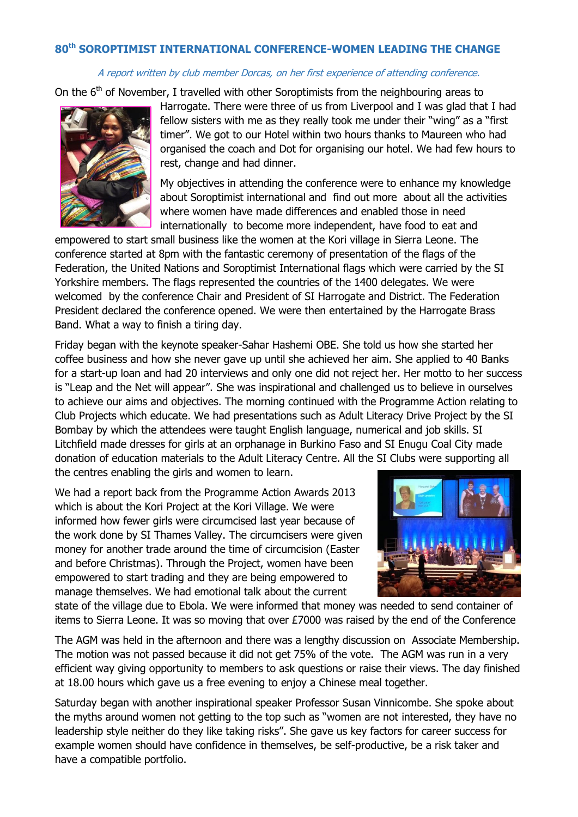# **80th SOROPTIMIST INTERNATIONAL CONFERENCE-WOMEN LEADING THE CHANGE**

#### A report written by club member Dorcas, on her first experience of attending conference.

On the  $6<sup>th</sup>$  of November, I travelled with other Soroptimists from the neighbouring areas to



Harrogate. There were three of us from Liverpool and I was glad that I had fellow sisters with me as they really took me under their "wing" as a "first timer". We got to our Hotel within two hours thanks to Maureen who had organised the coach and Dot for organising our hotel. We had few hours to rest, change and had dinner.

My objectives in attending the conference were to enhance my knowledge about Soroptimist international and find out more about all the activities where women have made differences and enabled those in need internationally to become more independent, have food to eat and

empowered to start small business like the women at the Kori village in Sierra Leone. The conference started at 8pm with the fantastic ceremony of presentation of the flags of the Federation, the United Nations and Soroptimist International flags which were carried by the SI Yorkshire members. The flags represented the countries of the 1400 delegates. We were welcomed by the conference Chair and President of SI Harrogate and District. The Federation President declared the conference opened. We were then entertained by the Harrogate Brass Band. What a way to finish a tiring day.

Friday began with the keynote speaker-Sahar Hashemi OBE. She told us how she started her coffee business and how she never gave up until she achieved her aim. She applied to 40 Banks for a start-up loan and had 20 interviews and only one did not reject her. Her motto to her success is "Leap and the Net will appear". She was inspirational and challenged us to believe in ourselves to achieve our aims and objectives. The morning continued with the Programme Action relating to Club Projects which educate. We had presentations such as Adult Literacy Drive Project by the SI Bombay by which the attendees were taught English language, numerical and job skills. SI Litchfield made dresses for girls at an orphanage in Burkino Faso and SI Enugu Coal City made donation of education materials to the Adult Literacy Centre. All the SI Clubs were supporting all the centres enabling the girls and women to learn.

We had a report back from the Programme Action Awards 2013 which is about the Kori Project at the Kori Village. We were informed how fewer girls were circumcised last year because of the work done by SI Thames Valley. The circumcisers were given money for another trade around the time of circumcision (Easter and before Christmas). Through the Project, women have been empowered to start trading and they are being empowered to manage themselves. We had emotional talk about the current



state of the village due to Ebola. We were informed that money was needed to send container of items to Sierra Leone. It was so moving that over £7000 was raised by the end of the Conference

The AGM was held in the afternoon and there was a lengthy discussion on Associate Membership. The motion was not passed because it did not get 75% of the vote. The AGM was run in a very efficient way giving opportunity to members to ask questions or raise their views. The day finished at 18.00 hours which gave us a free evening to enjoy a Chinese meal together.

Saturday began with another inspirational speaker Professor Susan Vinnicombe. She spoke about the myths around women not getting to the top such as "women are not interested, they have no leadership style neither do they like taking risks". She gave us key factors for career success for example women should have confidence in themselves, be self-productive, be a risk taker and have a compatible portfolio.